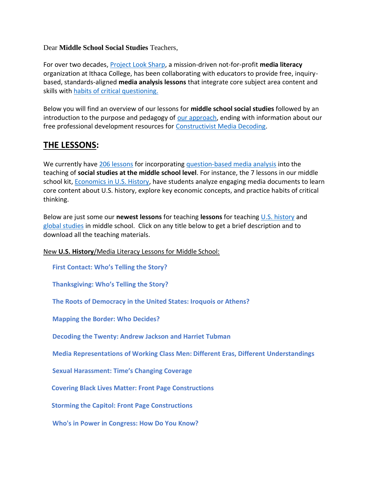#### Dear **Middle School Social Studies** Teachers,

For over two decades, [Project Look Sharp,](https://www.projectlooksharp.org/) a mission-driven not-for-profit **media literacy** organization at Ithaca College, has been collaborating with educators to provide free, inquirybased, standards-aligned **media analysis lessons** that integrate core subject area content and skills with [habits of critical questioning.](https://projectlooksharp.org/Resources%202/Key-Questions-for-Decoding%20Dec-21.pdf)

Below you will find an overview of our lessons for **middle school social studies** followed by an introduction to the purpose and pedagogy of [our approach,](https://projectlooksharp.org/our-approach.php) ending with information about our free professional development resources for [Constructivist Media Decoding.](https://projectlooksharp.org/our-approach.php#Constructivist)

## **THE LESSONS:**

We currently have [206 lessons](https://www.projectlooksharp.org/search-result.php?limit=10&search%5Bkeyword%5D=&search%5Bcategory%5D=lessons&search_filter%5Bresource_subject_area%5D%5B%5D=Social+Sciences%2FHistory&search_filter%5Bresource_grade_level%5D%5B%5D=middle+school) for incorporating [question-based media analysis](https://projectlooksharp.org/our-approach.php#Constructivist) into the teaching of **social studies at the middle school level**. For instance, the 7 lessons in our middle school kit, [Economics in U.S. History,](https://projectlooksharp.org/front_end.php?kit_id=16) have students analyze engaging media documents to learn core content about U.S. history, explore key economic concepts, and practice habits of critical thinking.

Below are just some our **newest lessons** for teaching **lessons** for teaching [U.S. history](https://www.projectlooksharp.org/search-result.php?limit=10&search%5Bkeyword%5D=&search%5Bcategory%5D=lessons&search_filter%5Bresource_subject_area%5D%5B%5D=us+history+and+government&search_filter%5Bresource_grade_level%5D%5B%5D=middle+school) and [global studies](https://www.projectlooksharp.org/search-result.php?limit=10&search%5Bkeyword%5D=&search%5Bcategory%5D=lessons&search_filter%5Bresource_subject_area%5D%5B%5D=global+studies&search_filter%5Bresource_grade_level%5D%5B%5D=middle+school) in middle school. Click on any title below to get a brief description and to download all the teaching materials.

### New **U.S. History**/Media Literacy Lessons for Middle School:

 **First [Contact:](https://projectlooksharp.org/front_end_resource.php?resource_id=494) Who's Telling the Story?**

 **[Thanksgiving:](https://projectlooksharp.org/front_end_resource.php?resource_id=484) Who's Telling the Story?**

 **The Roots of [Democracy](https://projectlooksharp.org/front_end_resource.php?resource_id=538) in the United States: Iroquois or Athens?**

 **[Mapping](https://projectlooksharp.org/front_end_resource.php?resource_id=457) the Border: Who Decides?**

 **[Decoding](https://projectlooksharp.org/front_end_resource.php?resource_id=461) the Twenty: Andrew Jackson and Harriet Tubman**

 **Media [Representations](https://projectlooksharp.org/front_end_resource.php?resource_id=534) of Working Class Men: Different Eras, Different Understandings**

 **Sexual [Harassment:](https://projectlooksharp.org/front_end_resource.php?resource_id=447) Time's Changing Coverage**

 **Covering Black Lives Matter: Front Page [Constructions](https://projectlooksharp.org/front_end_resource.php?resource_id=526)**

 **Storming the Capitol: Front Page [Constructions](https://projectlooksharp.org/front_end_resource.php?resource_id=551)**

 **Who's in Power in [Congress:](https://projectlooksharp.org/front_end_resource.php?resource_id=454) How Do You Know?**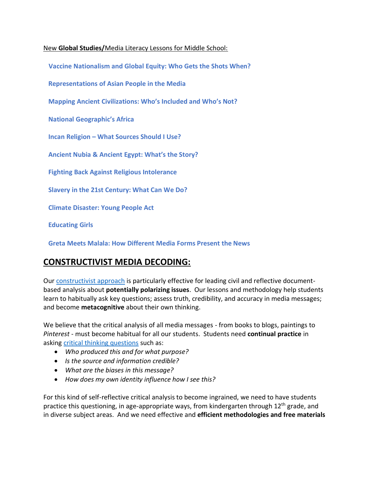### New **Global Studies/**Media Literacy Lessons for Middle School:

 **Vaccine [Nationalism](https://www.projectlooksharp.org/front_end_resource.php?resource_id=557) and Global Equity: Who Gets the Shots When?**

 **[Representations](https://www.projectlooksharp.org/front_end_resource.php?resource_id=560) of Asian People in the Media**

 **Mapping Ancient [Civilizations:](https://www.projectlooksharp.org/front_end_resource.php?resource_id=562) Who's Included and Who's Not?**

 **National [Geographic's](https://www.projectlooksharp.org/front_end_resource.php?resource_id=443) Africa**

 **Incan [Religion](https://www.projectlooksharp.org/front_end_resource.php?resource_id=558) – What Sources Should I Use?**

 **[Ancient](https://www.projectlooksharp.org/front_end_resource.php?resource_id=564) Nubia & Ancient Egypt: What's the Story?**

 **Fighting Back Against Religious [Intolerance](https://www.projectlooksharp.org/front_end_resource.php?resource_id=524)**

 **Slavery in the 21st [Century:](https://www.projectlooksharp.org/front_end_resource.php?resource_id=499) What Can We Do?**

 **Climate [Disaster:](https://www.projectlooksharp.org/front_end_resource.php?resource_id=471) Young People Act**

 **[Educating](https://www.projectlooksharp.org/front_end_resource.php?resource_id=441) Girls**

 **Greta Meets Malala: How [Different](https://www.projectlooksharp.org/front_end_resource.php?resource_id=531) Media Forms Present the News**

### **CONSTRUCTIVIST MEDIA DECODING:**

Our [constructivist approach](https://projectlooksharp.org/our-approach.php) is particularly effective for leading civil and reflective documentbased analysis about **potentially polarizing issues**. Our lessons and methodology help students learn to habitually ask key questions; assess truth, credibility, and accuracy in media messages; and become **metacognitive** about their own thinking.

We believe that the critical analysis of all media messages - from books to blogs, paintings to *Pinterest* - must become habitual for all our students. Students need **continual practice** in asking [critical thinking questions](https://projectlooksharp.org/Resources%202/Project%20Look%20Sharp%20Key%20Questions%20Both.pdf) such as:

- *Who produced this and for what purpose?*
- *Is the source and information credible?*
- *What are the biases in this message?*
- *How does my own identity influence how I see this?*

For this kind of self-reflective critical analysis to become ingrained, we need to have students practice this questioning, in age-appropriate ways, from kindergarten through  $12<sup>th</sup>$  grade, and in diverse subject areas. And we need effective and **efficient methodologies and free materials**